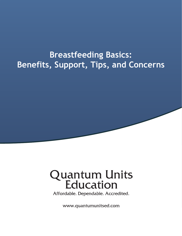# **Breastfeeding Basics:** Benefits, Support, Tips, and Concerns

# **Quantum Units<br>Education**

Affordable. Dependable. Accredited.

www.quantumunitsed.com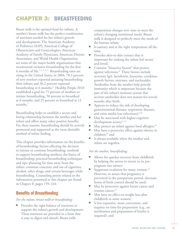# CHAPTER 3: BREASTFEEDING

Breast milk is the optimal food for infants. A mother's breast milk has the perfect combination of nutrients needed for her infant's growth and development. The American Academy of Pediatrics (AAP), American College of Obstetricians and Gynecologists, American Academy of Family Physicians, American Dietetic Association, and World Health Organization are some of the major health organizations that recommend exclusive breastfeeding for the first 6 months of life.<sup>1, 2, 3, 4, 5</sup> Breastfeeding rates are rising in the United States; in 2004, 70.3 percent of new mothers reported initiating breastfeeding their infants and 36.2 percent reported breastfeeding at 6 months.<sup>6</sup> Healthy People 2010 established a goal for 75 percent of mothers to initiate breastfeeding, 50 percent to breastfeed at 6 months, and 25 percent to breastfeed at 12 months.7

Breastfeeding helps to establish a secure and loving relationship between the mother and her infant and offers many other positive benefits. For these reasons, breastfeeding should be actively promoted and supported as the most desirable method of infant feeding.

This chapter provides information on the benefits of breastfeeding; factors affecting the decision to initiate or continue breastfeeding; methods to support breastfeeding mothers; the basics of breastfeeding; practical breastfeeding techniques and tips; planning for time away from the infant; common concerns; and use of cigarettes, alcohol, other drugs, and certain beverages while breastfeeding. Counseling points related to the information presented in this chapter are found in Chapter 8, pages 159–164.

# Benefits of Breastfeeding

*For the infant, breast milk or breastfeeding:*

Provides the right balance of nutrients to support the infant's growth and development. These nutrients are provided in a form that is easy to digest and absorb. Breast milk

composition changes over time to meet the infant's changing nutritional needs. Breast milk is designed to perfectly meet the needs of the human infant;

- Is sanitary and at the right temperature all the time;
- **Provides skin-to-skin contact that is** important for making the infant feel secure and loved;
- Contains "bioactive factors" that protect against infections.8 These factors include secretory IgA, lactoferrin, lysozyme, cytokines, growth factors, enzymes, and nucleotides. Antibodies from the mother help provide immunity which is important because the part of the infant's immune system that secretes antibodies does not mature for several months after birth;
- Appears to reduce the risk of developing gastrointestinal diseases, respiratory diseases, and otitis media (ear infections); $9,10$
- May be associated with higher cognitive development scores;<sup>11,12</sup>
- May protect an infant against food allergies; $13$
- May have a protective effect against obesity in children;<sup>14</sup> and
- Is always available when the mother and infant are together.

#### *For the mother, breastfeeding:*

- Allows for quicker recovery from childbirth by helping the uterus to return to its prepregnant size sooner;
- Suppresses ovulation for many women.<sup>15</sup> However, to assure that pregnancy is prevented in the postpartum period, alternate forms of birth control should be used;
- May be protective against breast cancer and ovarian cancer;<sup>15</sup>
- May have an effect on weight loss after childbirth in some women;
- Is less expensive, more convenient, and requires no time for preparation (e.g., no sterilization and preparation of bottles is required); and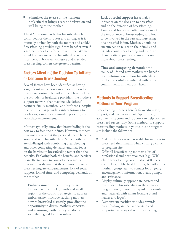Stimulates the release of the hormone prolactin that brings a sense of relaxation and well-being to the mother.

The AAP recommends that breastfeeding be continued for the first year and as long as it is mutually desired by both the mother and child.<sup>1</sup> Breastfeeding provides significant benefits even if a mother breastfeeds for a limited time. Women should be encouraged to breastfeed even for a short period; however, exclusive and extended breastfeeding confers the greatest benefits.

# Factors Affecting the Decision To Initiate or Continue Breastfeeding

Several factors have been identified as having a significant impact on a mother's decision to initiate or continue breastfeeding. These include the attitudes of healthcare providers; the mother's support network that may include fathers/ partners, family members, and/or friends; hospital practices such as providing infant formula to newborns; a mother's personal experience; and workplace environment.

Mothers typically know that breastfeeding is the best way to feed their infants. However, mothers may not know about the personal health benefits associated with breastfeeding. Some mothers are challenged with combining breastfeeding and other competing demands and may focus on the barriers to breastfeeding rather than the benefits. Exploring both the benefits and barriers is an effective way to counsel a new mother. Research has shown that the common barriers to breastfeeding are embarrassment, lack of social support, lack of time, and competing demands on the mother.<sup>16</sup>

**Embarrassment** is the primary barrier for women of all backgrounds and in all regions of the country. Strategies to address embarrassment include teaching mothers how to breastfeed discretely, providing the opportunity to discuss mothers' concerns, and reassuring mothers they are doing something good for their infant.

**Lack of social support** has a major influence on the decision to breastfeed and on the duration of breastfeeding. Family and friends are often not aware of the importance of breastfeeding and how to be involved in the care and nurturing of a breastfed infant. Mothers should be encouraged to talk with their family and friends about breastfeeding and to invite them to attend prenatal classes to learn more about breastfeeding.

**Time and competing demands** are a reality of life and new mothers can benefit from information on how breastfeeding can be successfully combined with other commitments in their busy lives.

# Methods To Support Breastfeeding Mothers in Your Program

Breastfeeding mothers benefit from education, support, and encouragement. Appropriate, accurate instruction and support can help women breastfeed successfully. Some methods to support breastfeeding mothers in your clinic or program site include the following:

- Make a place or room available for mothers to breastfeed their infants when visiting a clinic or program site.
- Offer all breastfeeding mothers a list of professional and peer resources (e.g., WIC clinic breastfeeding coordinator, WIC peer counselors, public health nurses, breastfeeding mothers group, etc.) to contact for ongoing encouragement, information, breast pumps, and assistance.
- **•** Display culturally appropriate posters and materials on breastfeeding in the clinic or program site (do not display infant formula and materials with infant formula brand names and logos).
- Demonstrate positive attitudes towards breastfeeding and deliver positive and supportive messages about breastfeeding.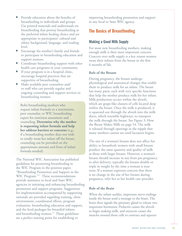- Provide education about the benefits of breastfeeding to individuals and groups. Use printed materials and audiovisuals on breastfeeding that portray breastfeeding as the preferred infant feeding choice and are appropriate to participants' cultural and ethnic background, language, and reading level.
- Encourage the mother's family and friends to participate in breastfeeding education and support sessions.
- Coordinate breastfeeding support with other health care programs in your community.
- If your program is in a hospital clinic, encourage hospital practices that are supportive of breastfeeding.
- Make available peer counselors and/ or staff who can provide regular and ongoing counseling and support services to breastfeeding women.

Refer breastfeeding mothers who request infant formula to a nutritionist, peer counselor, or WIC breastfeeding expert for nutrition assessment and counseling. **Determine why the mother is requesting infant formula and help her address barriers or concerns** (e.g., if a breastfeeding mother does not wish to totally wean her infant off the breast, counseling can be provided on the approximate amount and form of infant formula needed).

The National WIC Association has published guidelines for promoting breastfeeding in the WIC Program in the position paper, "Breastfeeding Promotion and Support in the WIC Program."<sup>17</sup> These recommendations provide assistance to local and State WIC agencies in initiating and enhancing breastfeeding promotion and support programs. Suggestions for implementation accompanied by supporting rationale are provided regarding training, clinic environment, coordinated efforts, program evaluation, breastfeeding education and support, and the food packages for breastfed infants and breastfeeding women.<sup>17</sup> These guidelines are a perfect starting point for establishing or

improving breastfeeding promotion and support in any local or State WIC agency.

# The Basics of Breastfeeding

### Making a Good Milk Supply

For most new breastfeeding mothers, making enough milk is their most important concern. Concern over milk supply is a key reason women wean their infants from the breast in the first 6 months of life.

#### **Role of the Breasts**

During pregnancy, the breasts undergo physiological and anatomical changes that enable them to produce milk for an infant. The breast has many parts, each with very specific functions that help the mother produce milk for her infant. Milk production occurs within the alveoli, which are grape-like clusters of cells located deep within the breast. Once the milk is produced, it is squeezed out through the alveoli into the milk ducts, which resemble highways, to transport the milk through the breast. See Figure 3: How the Breast Makes Milk on page 54. The milk is released through openings in the nipple that many mothers cannot see until lactation begins.

The size of a woman's breasts does not affect her ability to breastfeed; women with small breasts produce the same quantity and quality of milk as those with larger breasts. However, a woman's breasts should increase in size from pre-pregnancy to after delivery; typically the breasts double or triple in weight by the time a woman is near term. If a woman expresses concern that there is no change in the size of her breasts during pregnancy, refer her to her health care provider.

#### **Role of the Brain**

When the infant suckles, important nerve endings inside the breast send a message to the brain. The brain then signals the pituitary gland to release two important hormones; Prolactin causes the alveoli to begin making milk, and oxytocin causes the muscles around those cells to contract and squeeze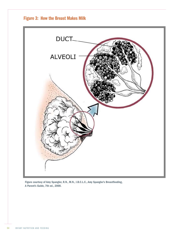



Figure courtesy of Amy Spangler, R.N., M.N., I.B.C.L.C., Amy Spangler's Breastfeeding, A Parent's Guide, 7th ed., 2000.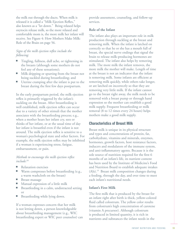the milk out through the ducts. When milk is released it is called a "Milk Ejection Reflex," also known as a "let down." Being relaxed helps oxytocin release milk, so the more relaxed and comfortable mom is, the more milk her infant will receive. See Figure 4: How Mothers Make Milk: Role of the Brain on page 56.

#### *Signs of the milk ejection reflex include the following:*

- ▘ Tingling, fullness, dull ache, or tightening in the breasts (although some mothers do not feel any of these sensations);
- Milk dripping or spurting from the breast not being suckled during breastfeeding; and
- Uterine cramping after the infant is put to the breast during the first few days postpartum.

In the early postpartum period, the milk ejection reflex is primarily triggered by the infant's suckling on the breast. After breastfeeding is well established, milk ejection reflex can occur due to a variety of other stimuli that the mother associates with the breastfeeding process; e.g., when a mother hears her infant cry, sees or thinks of her infant, or at the usual time of day her infant is breastfed even if the infant is not around. The milk ejection reflex is sensitive to a woman's psychological state and other factors. For example, the milk ejection reflex may be inhibited if a woman is experiencing stress, fatigue, embarrassment, or pain.

#### *Methods to encourage the milk ejection reflex include:*<sup>18</sup>

- **Relaxation exercises**
- Warm compresses before breastfeeding (e.g., a warm washcloth on the breast)
- Breast massage
- Manual expression of a little milk
- **•** Breastfeeding in a calm, undistracted setting or
- Breastfeeding while lying down.

If a woman expresses concern that her milk is not letting down, a person knowledgeable about breastfeeding management (e.g., WIC breastfeeding expert or WIC peer counselor) can

provide assessment, counseling, and follow-up services.

#### **Role of the Infant**

The infant also plays an important role in milk production through suckling at the breast and removing milk. When the infant is latched on correctly so that he or she has a mouth full of breast, the special nerve endings that signal the brain to release milk-producing hormones are stimulated. The infant also helps by removing milk. The more milk the infant removes, the more milk the mother will make. Length of time at the breast is not an indicator that the infant is removing milk. Some infants are efficient at removing milk quickly, while others take longer, or are latched on incorrectly so that they are removing very little milk. If the infant cannot go to the breast right away, the milk needs to be removed with a breast pump or through hand expression so the mother can establish a good milk supply. Frequent breastfeeding or milk removal (8 to 12 times every 24 hours) helps mothers make a good milk supply.

#### Characteristics of Breast Milk

Breast milk is unique in its physical structure and types and concentrations of protein, fat, carbohydrate, vitamins and minerals, enzymes, hormones, growth factors, host resistance factors, inducers and modulators of the immune system, and anti-inflammatory agents. Because it is the sole source of nutrition required for the first 6 months of an infant's life, its nutrient content has been used by the Institute of Medicine's Food and Nutrition Board to establish adequate intakes (AIs).19 Breast milk composition changes during a feeding, through the day, and over time to meet each infant's nutritional needs.

#### **Infant's First Milk**

The first milk that is produced by the breast for an infant right after birth is thick, yellow-colored fluid called colostrum. The yellow color results from colostrum's high concentration of carotene (vitamin A precursor). Although colostrum is produced in limited quantity, it is rich in nutrients and substances the infant needs in the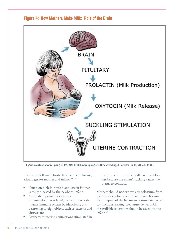

# Figure 4: How Mothers Make Milk: Role of the Brain

Figure courtesy of Amy Spangler, RN, MN, IBCLC, Amy Spangler's Breastfeeding, A Parent's Guide, 7th ed., 2000.

initial days following birth. It offers the following advantages for mother and infant: 18, 20, 21

- Nutrition high in protein and low in fat that is easily digested by the newborn infant;
- Antibodies, primarily secretory immunoglobulin A (sIgA), which protect the infant's immune system by identifying and destroying foreign objects such as bacteria and viruses; and
- Postpartum uterine contractions stimulated in

the mother; the mother will have less blood loss because the infant's sucking causes the uterus to contract.

Mothers should not express any colostrum from their breasts before their infant's birth because the pumping of the breasts may stimulate uterine contractions, risking premature delivery. All the available colostrum should be saved for the infant.20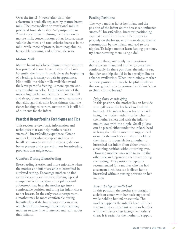Over the first 2–3 weeks after birth, the colostrum is gradually replaced by mature breast milk. The intermediate or transitional milk is produced from about day 2–5 postpartum to 2 weeks postpartum. During the transition to mature milk, concentrations of fat, lactose, watersoluble vitamins, and total calories increase in the milk, while those of protein, immunoglobulins, fat-soluble vitamins, and minerals decrease.

#### **Mature Milk**

Mature breast milk looks thinner than colostrum. It is produced about 10 to 15 days after birth. Foremilk, the first milk available at the beginning of a feeding, is watery or pale in appearance. Hind milk, the richer milk available toward the latter part of a feeding, is more opaque and creamy white in color. This thicker part of the milk is high in fat and helps the infant feel full and sleepy. Some mothers may need reassurance that although their milk looks thinner than the richer-looking colostrum, mature milk is still full of nutrients for the infant.

#### Practical Breastfeeding Techniques and Tips

This section reviews basic information and techniques that can help mothers have a successful breastfeeding experience. Once a mother knows what to expect and how to handle common concerns in advance, she can better prevent and cope with most breastfeeding problems that might occur.

#### **Comfort During Breastfeeding**

Breastfeeding is easier and more enjoyable when the mother and infant are able to breastfeed in a relaxed setting. Encourage mothers to find a comfortable place for breastfeeding. Special equipment is not necessary, but pillows and a footstool may help the mother get into a comfortable position and bring her infant closer to her breasts. In the early weeks postpartum, a mother may be more comfortable during breastfeeding if she has privacy and can relax with her infant. During this period, encourage mothers to take time to interact and learn about their infants.

#### **Feeding Positions**

The way a mother holds her infant and the position of the infant on the breast can influence successful breastfeeding. Incorrect positioning can make it difficult for an infant to suckle properly on the breast, result in inadequate milk consumption by the infant, and lead to sore nipples. To help a mother learn feeding positions, try demonstrating them using a doll.

There are three commonly used positions that allow an infant and mother to breastfeed comfortably. In these positions, the infant's ear, shoulder, and hip should be in a straight line to enhance swallowing. When instructing a mother on these positions, it may be helpful to tell her that one guideline is to position her infant "chest to chest, chin to breast."

#### *Lying down or side-lying*

In this position, the mother lies on her side with pillows under her head and behind her back. The infant lies on his or her side facing the mother with his or her chest to the mother's chest and with the infant's mouth level with the nipple. Small pillows can be placed either under the infant's head to bring the infant's mouth to nipple level or under the mother's arm that is holding the infant. It is possible for a mother to breastfeed her infant from either breast in a reclining position without turning over. However, mothers may wish to roll to the other side and reposition the infant during the feeding. This position is typically recommended for a mother who has had a cesarean birth because it allows her to breastfeed without putting pressure on her incision.

#### *Across the lap or cradle hold*

In this position, the mother sits upright in a chair or couch with her back supported while holding her infant securely. The mother supports the infant's head with her arm and places the infant on his or her side with the infant's chest facing the mother's chest. It is easier for the mother to support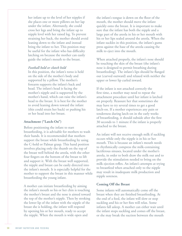her infant up to the level of her nipples if she places one or more pillows on her lap under the infant. Alternately, she could cross her legs and bring the infant up to nipple level with her raised leg. To prevent straining her back, the mother should avoid leaning down to the infant and instead bring the infant to her. This position may be useful for the infant who has difficulty latching on because the mother can easily guide the infant's mouth to the breast.

#### *Football hold or clutch hold*

In this position, the infant's torso is held on the side of the mother's body and supported by a pillow. The mother's forearm supports the infant's back and head. The infant's head is facing the mother's nipple and is supported by the mother's hand, which can raise the infant's head to the breast. It is best for the mother to avoid leaning down toward the infant (this could strain her back) or pushing his or her head into her breast.

#### **Attachment ("Latch-On")**

Before positioning the infant to start breastfeeding, it is advisable for mothers to wash their hands. It is recommended that mothers support the breast while breastfeeding by using the C-hold or Palmar grasp. This hand position involves placing only the thumb on the top of the breast well behind the areola, with the other four fingers on the bottom of the breast to lift and support it. With the breast well supported, the nipple and breast can be easily directed into the infant's mouth. It is especially helpful for the mother to support the breast in this manner while breastfeeding the young infant.

A mother can initiate breastfeeding by aiming the infant's mouth so his or her chin is touching the mother's breast and the nose is aimed toward the top of the mother's nipple. Then by stroking the lower lip of the infant with the nipple of the breast she is holding, the infant will respond by opening his or her mouth, ready to accept the nipple. When the mouth is wide open and

the infant's tongue is down on the floor of the mouth, the mother should move the infant quickly onto the breast. It is important to make sure that the infant has both the nipple and a large part of the areola in his or her mouth with his or her lips sealed around the areola. When the infant suckles in this position, the infant's gums press against the base of the areola causing the milk to eject into the mouth.

When attached properly, the infant's nose should be touching the skin of the breast (the infant's nose is designed to permit breathing during breastfeeding). The infant's lips should be flanged out (curved outward) and relaxed with neither the upper or lower lip curled inward.

If the infant is not attached correctly the first time, a mother may need to repeat the attachment procedure until her infant is latched on properly. Reassure her that sometimes she may have to try several times to get a good latch-on. If a mother experiences any pain or tenderness during latch-on in the early weeks of breastfeeding, it should subside after the first 30 seconds to 1 minute if the infant is properly attached to the breast.

An infant will not receive enough milk if suckling occurs while only the nipple is in his or her mouth. This is because an infant's mouth needs to rhythmically compress the milk-containing lactiferous sinuses, located under the mother's areola, in order to both draw the milk out and to provide the stimulation needed to bring on the milk ejection reflex. An infant's attempts at trying to breastfeed when attached only to the nipple may result in inadequate milk production and nipple soreness.

#### **Coming Off the Breast**

Some infants will automatically come off the breast when they are finished breastfeeding. At the end of a feed, the infant will slow or stop suckling and his or her fists will relax. Some infants fall asleep. A mother can either wait until the infant stops suckling and comes off the breast, or she may break the suction between the mouth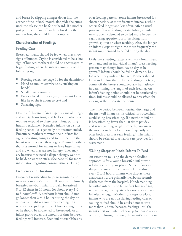and breast by slipping a finger down into the corner of the infant's mouth alongside the gums until the release can be felt or heard. If a mother just pulls her infant off without breaking the suction first, she could hurt her nipple.

#### Characteristics of Feedings

#### **Feeding Cues**

Breastfed infants should be fed when they show signs of hunger. Crying is considered to be a late sign of hunger; mothers should be encouraged to begin feeding when the infant shows any of the following signs:

- Rooting reflex (see page  $41$  for the definition)
- Hand-to-mouth activity (e.g., sucking on hands)
- Small fussing sounds
- Pre-cry facial grimaces (i.e., the infant looks like he or she is about to cry) and
- Smacking lips.

Healthy, full-term infants express signs of hunger and satiety, learn trust, and feel secure when their mothers respond to these cues. Thus, putting healthy, exclusively breastfed infants on a strict feeding schedule is generally not recommended. Encourage mothers to watch their infants for signs indicating hunger and to put them to the breast when they see those signs. Remind mothers that it is normal for infants to have fussy times and cry when they are not hungry. They may cry because they need a diaper change, want to be held, or want to suck. (See page 60 for more information regarding non-nutritive sucking.)

#### **Frequency and Duration**

Frequent breastfeeding helps to maintain and increase a mother's breast milk supply. Exclusively breastfed newborn infants usually breastfeed 8 to 12 times in 24 hours (or about every 1½ to 3 hours).22,23 A newborn infant should not go longer than 2 to 3 hours during the day or 4 hours at night without breastfeeding. If a newborn sleeps longer than 4 hours at night, she or he should be awakened to breastfeed. As an infant grows older, the amount of time between feedings will increase. Each infant establishes his

own feeding pattern. Some infants breastfeed for shorter periods at more frequent intervals, while others feed longer and less often. After a usual pattern of breastfeeding is established, an infant may suddenly demand to be fed more frequently, e.g., during appetite spurts (resulting from growth spurts) or when teething. Also, the longer an infant sleeps at night, the more frequently the infant may demand to be fed during the day.

Daily breastfeeding patterns will vary from infant to infant, and an individual infant's breastfeeding pattern may change from day to day as he grows.20 Infants should be fed on demand, i.e., fed when they indicate hunger. Mothers should learn and follow their infants' feeding cues (e.g., comes off the breast spontaneously, falls asleep) in determining the length of each feeding. An infant's feeding period should not be restricted by time. Infants should be allowed to breastfeed for as long as they indicate the desire.

The time period between hospital discharge and the first well infant visit is critical for successfully establishing breastfeeding. If a newborn infant is breastfeeding fewer than 10 times per day and is not gaining weight properly, encourage the mother to breastfeed more frequently and offer both breasts at each feeding.<sup>22</sup> The infant should be referred to a health care provider for assessment.

#### **Waking Sleepy or Placid Infants To Feed**

An exception to using the demand feeding approach is for a young breastfed infant who is lethargic, sleepy, or placid. Some infants are sleepy and may not be interested in feeding every 2 to 3 hours. Infants who display these characteristics are primarily newborns recently discharged from the hospital. Nondemanding breastfed infants, who fail to "act hungry," may not gain weight adequately because they are not fed often enough. Mothers of sleepy or placid infants who are not displaying feeding cues or waking to feed should be advised not to wait more than 3 hours between feedings until the infant's first well infant check-up (within 2 weeks of birth). During this visit, the infant's health care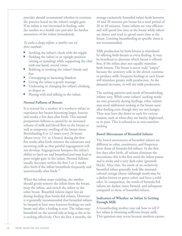provider should recommend whether to continue the practice based on the infant's weight gain. If an infant is not interested in feeding, refer the mother to a health care provider for further assessment of the infant immediately.

#### *To wake a sleepy infant, a mother can try these methods:*

- Stroking the infant's cheek with the nipple
- Holding the infant in an upright position (sitting or standing) while supporting the chin with one hand, several times
- Rubbing or stroking the infant's hands and feet
- Unwrapping or loosening blankets
- Giving the infant a gentle massage
- Undressing or changing the infant's clothing or diaper or
- Playing with and talking to the infant.

#### **Normal Fullness of Breasts**

It is normal for a mother of a newborn infant to experience her breasts becoming larger, heavier, and tender a few days after birth. This normal postpartum fullness is caused by an increased volume of milk and blood flow to the breasts as well as temporary swelling of the breast tissue. Breastfeeding 8 to 12 times every 24 hours (about every  $1\frac{1}{2}$  to 3 hours) during the first few weeks after birth removes the colostrum and incoming milk so that painful engorgement will not develop. Engorgement hampers the infant's ability to latch on and breastfeed and may lead to poor weight gain in the infant. Normal fullness usually decreases within the first 2 or 3 weeks after birth if the infant breastfeeds frequently and unrestrictedly after birth.<sup>20</sup>

When the infant stops suckling, the mother should gently remove the infant from the breast, burp the infant, and switch the infant to the other breast. Breastfed infants ingest less air during feeding than bottle-fed infants. However, it is generally recommended that breastfed infants be burped at least once between feedings on each breast and after a feeding is over. The infant may breastfeed on the second side as long as she or he is sucking effectively. Over the first 4 months, the

average exclusively breastfed infant feeds between 10 and 20 minutes per breast for a total period of 20 to 40 minutes. Some infants are very efficient and will spend less time at the breast while others are slower and tend to spend more time at the breast. Limiting breastfeeding to specific times is not recommended.

Milk production by both breasts is stimulated by offering both breasts at every feeding. It may be beneficial to alternate which breast is offered first, if the infant does not equally stimulate both breasts. The breast is never truly "empty" because the secretory cells in the alveoli continue to produce milk. Frequent feedings at each breast will stimulate greater milk production. As the demand increases, so will the milk production.

The sucking patterns and needs of breastfeeding infants vary. While some infants' sucking needs are met primarily during feedings, other infants may need additional sucking at the breast soon after feeding even though they are not hungry. They may have the desire to suck for various reasons, such as when they are lonely, frightened, or in pain. This is referred to as non-nutritive sucking.

#### **Bowel Movements of Breastfed Infants**

The bowel movements of breastfed infants are different in color, consistency, and frequency from those of formula-fed infants. In the first few days after birth, all infants eliminate the meconium; this is the first stool the infant passes and is sticky and a very dark color (greenish black). After that, the stools of an exclusively breastfed infant generally look like mustardcolored cottage cheese (although stools may be a darker brown or green color) and have a mild odor. In comparison, the stools of formula-fed infants are darker, more formed, and infrequent compared to those of breastfed infants.

#### **Indicators of Whether an Infant Is Getting Enough Milk**

A breastfeeding mother may ask how to tell if her infant is obtaining sufficient breast milk. This question may occur because mothers cannot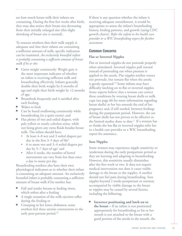see how much breast milk their infants are consuming. During the first few weeks after birth, they may also notice their breast size decreasing from their initially enlarged size (this slight shrinking of breast size is normal).

To reassure mothers that their milk supply is adequate and that their infants are consuming a sufficient amount of milk, specific indicators can be examined. *An exclusively breastfed infant is probably consuming a sufficient amount of breast milk if he or she:*

- Gains weight consistently. Weight gain is the most important indicator of whether an infant is receiving sufficient milk and breastfeeding effectively. Infants generally double their birth weight by 6 months of age and triple their birth weight by 12 months of age;
- Breastfeeds frequently and is satisfied after each feeding;
- Wakes to feed:
- Can be heard swallowing consistently while breastfeeding (in a quiet room); and
- Has plenty of wet and soiled diapers, with pale yellow or nearly colorless urine, while not being given any extra fluids besides breast milk. The infant should have:
	- At least 4–8 wet and 3 soiled diapers per day in the first  $3-5$  days of life<sup>2</sup>
	- 6 or more wet and 3–4 soiled diapers per day by 5-7 days of age<sup>2</sup> and
	- After 6 weeks, the number of bowel movements can vary from less than once a day to many per day.

Breastfeeding mothers also have their own physiological indicators as to whether their infant is consuming an adequate amount. An exclusively breastfed infant is probably consuming a sufficient amount of breast milk if his mother has:

- Full and tender breasts at feeding times, which soften after a feeding
- A tingly sensation of the milk ejection reflex during the feeding or
- Cramping in her lower abdomen; some mothers feel these uterine contractions in the early post-partum period.<sup>22</sup>

If there is any question whether the infant is receiving adequate nourishment, it would be appropriate to assess the infant's breastfeeding history, feeding patterns, and growth (using CDC growth charts). *Refer the infant to his health care provider or a WIC breastfeeding expert for further assessment.*

#### Common Concerns

#### **Flat or Inverted Nipples**

Flat or inverted nipples do not protrude properly when stimulated. Inverted nipples pull inward instead of protruding out when pressure is applied to the areola. Flat nipples neither retract not protrude, but remain flat when the areola is gently squeezed.<sup>23</sup> Some infants may have difficulty latching on to flat or inverted nipples. Some experts believe that a woman can correct these conditions by wearing breast shells or milk cups (see page 66 for more information regarding breast shells) in her bra towards the end of her pregnancy and, if still needed, between feedings during the postpartum period. However, the use of breast shells has not proven to be effective in the limited studies done to date.<sup>2</sup> If a woman has or thinks she has flat or inverted nipples refer her to a health care provider or a WIC breastfeeding expert for assistance.

#### **Sore Nipples**

Some women may experience nipple sensitivity or tenderness during the early postpartum period as they are learning and adapting to breastfeeding. However, this sensitivity usually diminishes after the first week or two. It does not require medical intervention nor does it cause visible damage to the breast or the nipples. A mother should not feel pain during breastfeeding. Sore nipples beyond 2 weeks postpartum or soreness accompanied by visible damage to the breast or nipples may be caused by several factors, including the following:

Incorrect positioning and latch-on to **the breast –** If an infant is not positioned appropriately for breastfeeding or his or her mouth is not attached to the breast with a good portion of the areola in the mouth, the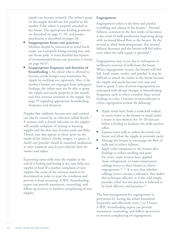nipple can become irritated. The infant's grasp on the nipple should not feel painful to the mother if the infant is properly attached to her breast. The appropriate feeding positions, are described on page 57-58, and proper attachment is described on pages 58.

- $\blacksquare$  Inappropriate breast care practices Mothers should be instructed to avoid harsh soaps, use a properly fitting nursing bra, and use breast pads. A more detailed description of recommended breast care practices is found on page 66-67.
- Inappropriate frequency and duration of **breastfeeding** – An infant who is allowed to become overly hungry may traumatize the nipple by suckling too vigorously. Also, if the mother's breasts are engorged from infrequent feedings, the infant may not be able to grasp the nipple and areola properly in the mouth and thus increase irritation to the nipple. See page 59 regarding appropriate breastfeeding frequency and duration.

Nipples that suddenly become sore and cracked can also be caused by an infection called thrush.<sup>22</sup> A woman with a thrush infection on the nipples will usually complain of itching or burning nipples and the skin may become pink and flaky. Thrush may also appear as white spots on the inside of the infant's cheeks, tongue, or gums. *A health care provider should be consulted; medication or other treatment may be prescribed for both the mother and infant.*

Expressing some milk onto the nipples at the end of a feeding and letting it dry may help sore nipples to heal. If a mother complains of sore nipples, the cause of the soreness needs to be determined in order to treat the condition and prevent it from recurring. A WIC breastfeeding expert can provide assessment, counseling, and follow-up services to mothers complaining of sore nipples.

#### **Engorgement**

Engorgement refers to the firm and painful overfilling and edema of the breasts.<sup>2</sup> Normal fullness, common in the first weeks of lactation, is the result of milk production beginning along with increased blood flow to the breasts. By the second or third week postpartum, this normal fullness decreases and the breasts will feel softer, even when the milk supply is plentiful.<sup>22</sup>

Engorgement may occur due to infrequent or ineffective removal of milk from the breast. When engorgement occurs, the breasts will feel full, hard, warm, tender, and painful. It may be difficult to attach the infant to the breast because the nipple and areola become very taut and hard to grasp. Cases of severe engorgement are associated with abrupt changes in breastfeeding frequency, such as when a mother skips several feedings in a day. *Common recommendations to relieve engorgement include the following:*

- Apply moist heat (hold a washcloth soaked in warm water to the breasts or stand under a warm or hot shower) for 10–20 minutes before a feeding to facilitate the milk ejection reflex.
- Express some milk to soften the areola and breast and allow the nipple to protrude easily.
- Massage the breasts to encourage the flow of milk and to relieve fullness.
- Apply cold compresses to the breasts after feedings to reduce swelling and pain. For years, some women have applied clean, refrigerated, or room-temperature cabbage leaves to their breasts to relieve engorgement.<sup>22, 23</sup> It is not clear whether cabbage leaves contain a substance that makes this technique effective or if the cold simply provides relief, but the practice is believed to be both effective and harmless.<sup>18</sup>

The best management for engorgement is prevention by having the infant breastfeed frequently and effectively every 1 to 3 hours. A WIC breastfeeding expert can provide assessment, counseling, and follow-up services to women complaining of engorgement.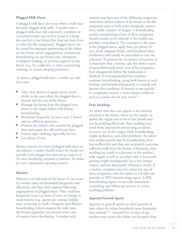#### **Plugged Milk Ducts**

A plugged milk duct can occur when a milk duct becomes clogged with milk. A mother with a plugged milk duct will commonly complain of a localized tender area on her breast or a lump she can feel in her breast (but does not have fever or other flu-like symptoms). Plugged ducts can be caused by improper positioning of the infant on the breast, severe engorgement, consistently breastfeeding on one breast only, infrequent or skipped feedings, or pressure applied on the breast (e.g., by a tight bra or other constricting clothing, or certain sleeping positions).

#### *To release a plugged milk duct, a mother can take these steps:*

- Take a hot shower or apply warm, moist cloths to the area where the plugged duct is located and the rest of the breast.
- Massage the breast from the plugged area down to the nipple before and during breastfeeding.
- Breastfeed frequently (at least every 2 hours) and use different positions.
- Position the infant's chin toward the plugged duct and empty the affected breast first.
- Loosen tight clothing, especially the bra.
- Get plenty of rest.

*Because mastitis can result if plugged milk ducts are not relieved, a mother should contact her health care provider if the plugged duct does not go away or if she starts developing symptoms of mastitis. See below for more information regarding mastitis.*

#### **Mastitis**

Mastitis is an infection of the breast. It can occur if a mother does not breastfeed frequently and effectively, and thus often appears following engorgement or plugged ducts. This condition frequently occurs at times of stress or change in usual routine (e.g., guests are visiting, holiday time, returning to work). Frequent and effective breastfeeding (which empties the milk from the breasts regularly) can prevent most cases of mastitis from developing. A mother with

mastitis may have any of the following symptoms: tenderness and/or redness of the breast or flu-like symptoms such as body aches, headache, nausea, fever, chills, malaise, or fatigue. A breastfeeding mother complaining of any of these symptoms should contact or be referred to her health care provider immediately. The treatment is the same as for plugged ducts: apply heat, get plenty of rest, drink adequate fluids, and breastfeed often. Antibiotics will usually be prescribed to cure the infection. To prevent the recurrence of mastitis, it is important that a mother take the entire course of prescribed medication, even if her symptoms have disappeared before the medication is finished. It is recommended that mothers continue breastfeeding, using both breasts at each feeding, and breastfeed frequently to remedy and prevent this condition. If mastitis is not quickly or completely treated, a more serious condition such as a breast abscess may result.<sup>18</sup>

#### **Poor Suckling**

An infant who does not appear to be correctly attached to the breast, chews on the nipple, or pushes the nipple out of his or her mouth may not be suckling effectively. Poor suckling may result from improperly positioning an infant, incorrect use of the tongue while breastfeeding, nipple preference, and other problems. An infant who suckles poorly may be breastfeeding often but ineffectively and thus not necessarily receiving sufficient milk from the breasts. Ultimately, poor suckling can result in a decrease in the mother's milk supply as well as an infant who is frustrated, gaining weight inadequately, has a low urinary output, and has abnormally infrequent stools. If a mother complains that her infant has any of these symptoms, refer the infant to a health care provider or WIC breastfeeding expert. A WIC breastfeeding expert can provide assessment, counseling, and follow-up services to correct suckling problems.

#### **Appetite/Growth Spurts**

Appetite or growth spurts are short periods of time when the infant breastfeeds more frequently than normal.<sup>2,16</sup> Around 8 to 12 days of age, mothers may notice the infant acts hungrier than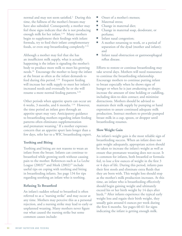normal and may not seem satisfied.2 During this time, the fullness of the mother's breasts may have also subsided. Consequently, a mother may feel these signs indicate that she is not producing enough milk for her infant.<sup>2,16</sup> Many mothers begin to supplement their feedings with infant formula, try to feed their infant complementary foods, or even stop breastfeeding completely.<sup>2,16</sup>

Although a mother may feel that she has an insufficient milk supply, what is actually happening is the infant is signaling the mother's body to produce more milk to meet his growing needs.<sup>16</sup> Encourage the mother to keep the infant at the breast as often as the infant demands to feed during this period. 2,16 Frequent feeding will increase her milk supply to meet her infant's increased needs and eventually he or she will resume a more normal feeding pattern.<sup>2,24</sup>

Other periods when appetite spurts can occur are 6 weeks, 3 months, and 6 months. 2,16 However, the time period an infant goes through an appetite spurt may vary. Anticipatory guidance to breastfeeding mothers regarding infant feeding patterns often eliminates supplementation and premature weaning.<sup>2</sup> If a mother expresses concern that an appetite spurt lasts longer than a few days, refer her to a WIC breastfeeding expert.

#### **Teething and Biting**

Teething and biting are not reasons to wean an infant from the breast. Infants can continue to breastfeed while growing teeth without causing pain to the mother. References such as La Leche League  $(2003)^{20}$  and Meek  $(2002)^{23}$  include useful tips on coping with teething and biting in breastfeeding infants. See page 134 for tips regarding soothing an infant who is teething.

#### **Refusing To Breastfeed**

An infant's sudden refusal to breastfeed is often referred to as a "nursing strike" and may occur at any time. Mothers may perceive this as a personal rejection, and a nursing strike may lead to early or unplanned weaning. Many mothers never figure out what caused the nursing strike but some common causes include:

- Onset of a mother's menses;
- Maternal stress:
- Change in maternal diet;
- Change in maternal soap, deodorant, or perfume;
- **I** Infant nasal congestion;
- A mother returning to work, or a period of separation of the dyad (mother and infant); and
- **I** Infant nasal obstruction or gastroesophageal reflux disease.

Efforts to restore or continue breastfeeding may take several days. Mothers will need reassurance to continue the breastfeeding relationship. Encourage mothers to continue putting infant to breast especially when he shows signs of hunger or when he is just awakening or sleepy; increase the amount of time holding or cuddling, including skin-to-skin contact; and minimize distractions. Mothers should be advised to maintain their milk supply by pumping or hand expression to assure continued adequate milk production. Instruct mothers to provide pumped breast milk in a cup, spoon, or dropper until breastfeeding resumes.

#### **Slow Weight Gain**

An infant's weight gain is the most reliable sign of breastfeeding success. When an infant does not gain weight adequately, appropriate action should be taken to increase the infant's weight as well as ensure that premature weaning does not occur. It is common for infants, both breastfed or formulafed, to lose a few ounces of weight in the first 3 or 4 days of life. During this period, infants pass their first stools and eliminate extra fluids that they are born with. This weight loss should stop as the mother's milk production increases. At this time, an infant who is breastfeeding effectively should begin gaining weight and ultimately exceed his or her birth weight by 14 days after birth.<sup>23</sup> After infants experience the typical early weight loss and regain their birth weight, they usually gain around 6 ounces per week during the first 6 months. See pages 60-61 for signs indicating the infant is getting enough milk.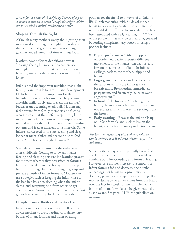*If an infant is under birth weight by 2 weeks of age or a mother is concerned about her infant's weight, advise her to consult her infant's health care provider.*

#### **Sleeping Through the Night**

Although many mothers worry about getting their infant to sleep through the night, the reality is that an infant's digestive system is not designed to go an extended amount of time without food.

Mothers have different definitions of what "through the night" means. Researchers use midnight to 5 a.m. as the standard definition; however, many mothers consider it to be much longer.<sup>16</sup>

Infants need the important nutrition that night feedings can provide for growth and development. Night feedings are also important for the breastfeeding mother because they help maintain a healthy milk supply and prevent the mother's breasts from becoming overly full. Mothers may feel pressure from family members and friends who indicate that their infant slept through the night at an early age; however, it is important to remind mothers that infants have different feeding patterns and feed at different time intervals. Some infants cluster feed in the late evening and sleep longer at night. Other infants continue to feed every 2 to 3 hours through the night.<sup>16</sup>

Sleep deprivation is natural in the early weeks after childbirth. Getting to know an infant's feeding and sleeping patterns is a learning process for mothers whether they breastfeed or formulafeed. Both feeding methods may disrupt sleep but breastfeeding eliminates having to get up and prepare a bottle of infant formula. Mothers can use strategies such as keeping the infant close to the bed in a bassinet, sleeping when the infant sleeps, and accepting help from others to get adequate rest. Assure the mother that as her infant grows he/she will sleep for longer intervals.

#### **Complementary Bottles and Pacifier Use**

In order to establish a good breast milk supply, advise mothers to avoid feeding complementary bottles of infant formula and water or using

pacifiers for the first 2 to 4 weeks of an infant's life. Supplementation with fluids other than breast milk as well as pacifier use can interfere with establishing effective breastfeeding and have been associated with early weaning.<sup>25, 26, 27</sup> Some of the problems that may be caused or aggravated by feeding complementary bottles or using a pacifier include:

- **Nipple preference –** Artificial nipples on bottles and pacifiers require different movements of the infant's tongue, lips, and jaw and may make it difficult for infants to easily go back to the mother's nipple and breast.
- **Engorgement** Bottles and pacifiers decrease the amount of time the infant spends breastfeeding. Breastfeeding immediately postpartum, and frequently, helps prevent engorgement.<sup>20</sup>
- **Refusal of the breast** After being on a bottle, the infant may become frustrated and not express as much interest in suckling from the breast.
- **Early weaning** Because the infant fills up on infant formula and suckles less on the breast, a reduction in milk production occurs.

#### *Mothers who report any of the above problems can be referred to a WIC breastfeeding expert for assistance.*

Some mothers may wish to partially breastfeed and feed some infant formula. It is possible to combine both breastfeeding and formula feeding. However, as a mother increases the amount of infant formula fed and decreases the number of feedings, her breast milk production will decrease, possibly resulting in total weaning. If a mother desires to wean her infant from the breast over the first few weeks of life, complementary bottles of infant formula can be given gradually as she weans. See pages 74-75 for guidelines on weaning.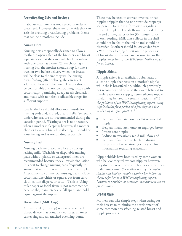#### Breastfeeding Aids and Devices

Elaborate equipment is not needed in order to breastfeed. However, there are some aids that can assist in avoiding breastfeeding problems. Items that can help mothers include:

#### **Nursing Bra**

Nursing bras are specially designed to allow a mother to open a flap of the bra over each breast separately so that she can easily feed her infant with one breast at a time. When choosing a nursing bra, the mother should shop for one a week or two before delivery when her breasts will be close to the size they will be during breastfeeding (after delivery, she can select additional bras to fit her size). The bra should be comfortable and nonconstraining, made with cotton cups (permitting adequate air circulation), and made with nonelastic adjustable straps for sufficient support.

Ideally, the bra should allow room inside for nursing pads and, if used, breast shells. Generally, underwire bras are not recommended during the lactation period. Wearing a bra is not necessary when a mother is sleeping; however, if a mother chooses to wear a bra while sleeping, it should be loose fitting and as nonbinding as possible.

#### **Nursing Pad**

Nursing pads are placed in a bra to soak up leaking milk. Washable or disposable nursing pads without plastic or waterproof liners are recommended because they allow air circulation. It is best to change nursing pads frequently to assure that moisture is not sitting on the nipples. Alternatives to commercial nursing pads include cotton handkerchiefs or squares cut from terry cloth, cotton diapers, or cotton T-shirts. Using toilet paper or facial tissue is not recommended because they dampen easily, fall apart, and hold liquid against the nipple.

#### **Breast Shell (Milk Cup)**

A breast shell (milk cup) is a two-piece hard plastic device that contains two parts: an inner center ring and an attached overlying dome.

These may be used to correct inverted or flat nipples (nipples that do not protrude properly; see page 61 for more information regarding inverted nipples). The shells may be used during the end of pregnancy or for 30 minutes prior to each feeding. Milk that collects in the shell should not be fed to the infant and should be discarded. Mothers should follow advice from a WIC breastfeeding expert on the proper use of breast shells. If a woman has inverted or flat nipples, refer her to the *WIC breastfeeding expert for assistance.*

#### **Nipple Shield**

A nipple shield is an artificial rubber latex or silicone nipple that rests on a mother's nipple while she is breastfeeding. Although previously not recommended because they were believed to interfere with milk supply, newer silicone nipple shields may be used in certain situations. *With the guidance of the WIC breastfeeding expert, using nipple shields for a period of a few days to a few weeks may be appropriate to:*<sup>2</sup>

- Help an infant latch on to a flat or inverted nipple
- Help an infant latch onto an engorged breast
- **Protect sore nipples**
- Reduce an excessively rapid milk flow and
- Help an infant learn to latch on during the process of relactation (see page 75 for information regarding relactation).

Nipple shields have been used by some women who believe they relieve sore nipples; however, they do not prevent sore nipples, nor correct their underlying cause. *If a mother is using the nipple shields and having trouble weaning her infant off them, refer her to a WIC breastfeeding expert, healthcare provider, or lactation management expert for assistance.*

#### Breast Care

Mothers can take simple steps when caring for their breasts to minimize the development of some common breastfeeding-related breast and nipple problems.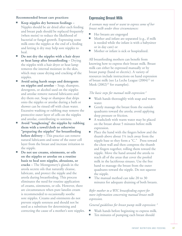#### **Recommended breast care practices:**

- Keep nipples dry between feedings Nipples should be air dried after each feeding and breast pads should be replaced frequently (when moist) to reduce the likelihood of bacterial or fungal growth. Expressing some milk onto the nipples at the end of a feeding and letting it dry may help sore nipples to heal.
- Do not dry the nipples with a hair dryer **or heat lamp after breastfeeding –** Drying the nipples with a hair dryer or heat lamp removes the internal moisture in the skin, which may cause drying and cracking of the nipples.
- Avoid using harsh soaps and detergents **on nipples and areolae** – Soap, shampoo, detergents, or alcohol used on the nipples and areolae remove natural lubricants and dry them out. Soap or shampoo that drips onto the nipples or areolae during a bath or shower can be rinsed off with clean water. Excessive washing or rubbing may remove the protective outer layer of cells on the nipples and areolae, contributing to soreness.
- Avoid "toughening" the nipples by rubbing **them with a towel/cloth or otherwise "preparing the nipples" for breastfeeding before delivery –** This practice can remove natural lubricants and some of the outer cell layer from the breast and increase irritation to the nipple.
- Do not use creams, ointments, or oils **on the nipples or areolae on a routine basis to heal sore nipples, abrasions, or cracks –** The Montgomery's glands in the areola secrete oils that naturally cleanse, lubricate, and protect the nipple and the areola during breastfeeding. This process eliminates the need for routine application of creams, ointments, or oils. However, there are circumstances when pure lanolin cream is recommended to occasionally soothe sore nipples. Creams and ointments do not prevent nipple soreness and should not be used as a substitute for determining and correcting the cause of a mother's sore nipples.

#### Expressing Breast Milk

*A woman may need or want to express some of her breast milk under these circumstances:*

- Her breasts are engorged
- Mother and infant are separated (e.g., if milk is needed while the infant is with a babysitter or in day care) or
- Mother or infant is sick or hospitalized.

All breastfeeding mothers can benefit from knowing how to express their breast milk. Breast milk can either be expressed manually or by breast pump (hand or electric). A variety of resources include instructions on hand expression of breast milk (see La Leche League  $(2004)^{22}$  or Meek  $(2002)^{23}$  for examples).

#### *The basic steps for manual milk expression:* <sup>2</sup>

- Wash hands thoroughly with soap and warm water.
- Gently massage the breast from the outside quadrants toward the areola; avoid applying deep pressure or friction.
- A washcloth with warm water may be placed on the breast about 5 minutes before milk expression.
- Place the hand with the fingers below and the thumb above about 1¼ inch away from the nipple base so they form a "C." Press toward the chest wall and then compress the thumb and fingers together, rolling them toward the nipple. Move the hand around the areola to reach all of the areas that cover the pooled milk in the lactiferous sinuses. Use the free hand to massage the breast from the outer quadrants toward the nipple. Do not squeeze the nipple.
- The manual method can take 20 to 30 minutes for adequate draining of both breasts.

#### *Refer mother to a WIC breastfeeding expert for more information concerning manual breast milk expression.*

*General guidelines for breast pump milk expression:* <sup>2</sup>

- Wash hands before beginning to express milk.
- Ten minutes of pumping each breast should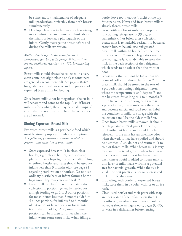be sufficient for maintenance of adequate milk production, preferably from both breasts simultaneously.

Develop relaxation techniques, such as sitting in a comfortable environment. Think about the infant or look at a photograph of the infant. Gently massage the breast before and during the milk expression.

*Mother should refer to the manufacturer's instructions for the specific pump. If instructions are not available, refer her to a WIC breastfeeding expert.*

Breast milk should always be collected in a very clean container (rigid plastic or glass containers are generally recommended). See pages 68–69 for guidelines on safe storage and preparation of expressed breast milk for feeding.

Since breast milk is not homogenized, the fat in it will separate and come to the top. Also, if breast milk sits for a while, there may be small lumps of cream that do not dissolve. These characteristics are all normal.

#### Storing Expressed Breast Milk

Expressed breast milk is a perishable food which must be stored properly for safe consumption. *The following guidelines are recommended to prevent contamination of breast milk:*

- Store expressed breast milk in clean glass bottles, rigid plastic bottles, or disposable plastic nursing bags tightly capped after filling (sterilized bottles and parts should be used for infants less than 3 months old) (see page 91 regarding sterilization of bottles). Do not use ordinary plastic bags or infant formula bottle bags since they may crack and leak.<sup>23</sup>
- **EXECUTE:** Breast milk can be frozen immediately after collection in portions generally needed for a single feeding (e.g., 2 to 3 ounce portions for most infants less than 3 months old; 3 to 4 ounce portions for infants 3 to 5 months old; 4 ounce or larger portions for infants 6 months and older). Also, some 1 ounce portions can be frozen for times when the infant wants some extra milk. When filling a

bottle, leave room (about 1 inch) at the top for expansion. Never add fresh breast milk to already frozen breast milk.

- Store bottles of breast milk in a properly functioning refrigerator at 39 degrees Fahrenheit (F) or below after collection.<sup>2</sup> Breast milk is remarkably resistant to bacterial growth but, to be safe, use refrigerated breast milk within 48 hours from the time it is collected.<sup>2, 24</sup> Since refrigerators may be opened regularly, it is advisable to store the milk in the back section of the refrigerator, which tends to be colder than the front or door.
- $\blacksquare$  Breast milk that will not be fed within 48 hours of collection should be frozen.<sup>24</sup> Frozen breast milk should be stored in the rear of a properly functioning refrigerator freezer, where the temperature is at 0 degrees F, and can be stored for as long as  $3$  to 6 months.<sup>24</sup> If the freezer is not working or if there is a power failure, frozen milk may thaw out and become rancid and spoil sooner. Label the container of milk for storage with the collection date. Use the oldest milk first.
- Once frozen breast milk is thawed, it should be refrigerated at 39 degrees F or below, used within 24 hours, and should not be refrozen.<sup>2</sup> If the milk has an offensive odor when thawed, it may have spoiled and should be discarded. Also, do not add warm milk to cold or frozen milk. While breast milk is very resistant to bacterial growth when fresh, it is much less resistant after it has been frozen. Each time a liquid is added to frozen milk, a thin layer of milk thaws which is a potential area for bacterial growth. While the risk is small, the best practice is not to open stored milk until feeding time.
- If traveling with bottles of expressed breast milk, store them in a cooler with ice or an ice pack.
- Clean used bottles and their parts with soap and hot water. If the infant is less than 3 months old, sterilize those items in boiling water, as shown in Figure 6a-c, pages 93–95, or wash in a dishwasher before reusing.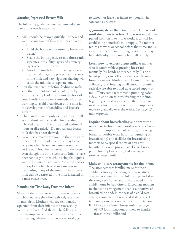#### Warming Expressed Breast Milk

The following guidelines are recommended to thaw and warm breast milk:

- Milk should be thawed quickly. To thaw and warm a container of frozen expressed breast milk:
	- Hold the bottle under running lukewarm water. $2$
	- Shake the bottle gently to mix (breast milk separates into a fatty layer and a watery layer when it is stored).
	- Avoid too much heat or shaking because heat will damage the protective substances in the milk and very vigorous shaking will cause the milk fat to separate out.
- Test the temperature before feeding to make sure that it is not too hot or cold (test by squirting a couple of drops onto the back of your hand). Use the milk immediately after warming to avoid breakdown of the milk fat, the development of rancidity, and bacterial growth.
- Thaw and/or warm only as much breast milk as you think will be needed for a feeding. Thawed breast milk must be used within 24 hours or discarded.2 Do not refreeze breast milk that has been thawed.
- Never use a microwave oven to thaw or warm breast milk.<sup>2</sup> Liquid in a bottle may become very hot when heated in a microwave oven and remain hot after removal from the oven even though the bottle feels cool. Infants have been seriously burned while being fed liquids warmed in microwave ovens. Covered bottles can explode when heated in a microwave oven. Also, many of the immunities in breast milk can be destroyed if the milk is heated in a microwave oven.

#### Planning for Time Away From the Infant

Many mothers need or want to return to work or school outside their home shortly after their infant's birth. Mothers who are temporarily separated from their infants can successfully continue to breastfeed them. The following tips may improve a mother's ability to continue breastfeeding whether she chooses to work, go

to school, or leave her infant temporarily in someone else's care:

*If possible***, delay the return to work or school until the infant is at least 4 to 6 weeks old.** The period from birth to 4 to 6 weeks is critical for establishing a mother's milk supply. If a mother returns to work or school before that time and is away from her infant for long periods, she may have difficulty maintaining her milk supply.

**Learn how to express breast milk.** A mother who is comfortable expressing breast milk manually (by hand) or mechanically (using a breast pump) can collect her milk while away from her infant. Mothers who begin expressing, collecting, and freezing small amounts of milk each day are able to build up a stored supply of milk. Thus, some recommend pumping twice a day, in addition to breastfeeding the infant, beginning several weeks before they return to work or school. This allows the milk supply to increase gradually over the weeks. See page 67 on milk expression.

**Inquire about breastfeeding support at the workplace/school.** Some workplaces or schools may feature supportive policies (e.g., allowing breaks or flexible work hours for pumping or breastfeeding) and facilities for breastfeeding mothers (e.g., special rooms or areas for breastfeeding with privacy, an electric breast pump for employees' use, and a refrigerator to store expressed milk).

**Make child care arrangements for the infant.** The arrangements families make for their children can vary including care by relatives, center-based care, family child care provided in the caregiver's home, and care provided in the child's home by babysitters. Encourage mothers to choose an arrangement that is supportive of breastfeeding and, in the case of a child care center, allows her to breastfeed if she visits. The temporary caregiver needs to be instructed on:

How to use frozen breast milk (see pages 68–69 for instructions on how to handle frozen breast milk) and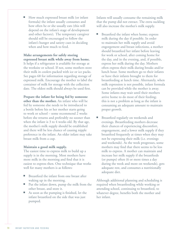How much expressed breast milk (or infant formula) the infant usually consumes and how often he or she usually eats (this will depend on the infant's stage of development and other factors); The temporary caregiver should still be encouraged to follow the infant's hunger and satiety cues in deciding when and how much to feed.

**Make arrangements for safely storing expressed breast milk while away from home.** It helps if a refrigerator is available for storage at the worksite or school. If not, some mothers store their milk in coolers packed with ice or ice packs. See pages 68 for information regarding storage of expressed milk. Encourage the mother to label the container of milk for storage with the collection date. The oldest milk should always be used first.

**Prepare the infant for being fed by someone other than the mother.** An infant who will be fed by someone else needs to be introduced to a bottle before his or her mother starts going to work or school – some recommend 2 weeks before she returns and preferably no sooner than when the infant is 3 to 4 weeks old. By that age, the mother's milk supply should be established and there will be less chance of causing nipple preference in the infant. An older infant may take breast milk from a cup.

#### **Maintain a good milk supply.**

The easiest time to express milk to build up a supply is in the morning. Most mothers have more milk in the morning and find that it is easiest to express then. One technique that works well for many mothers is as follows:

- Breastfeed the infant from one breast after waking up in the morning.
- Put the infant down, pump the milk from the other breast, and store it.
- As soon as the pumping is finished, let the infant breastfeed on the side that was just pumped.

Infants will usually consume the remaining milk that the pump did not extract. The extra suckling will also increase the mother's milk supply.

- Breastfeed the infant when home; express milk during the day if possible. In order to maintain her milk supply and avoid engorgement and breast infections, a mother should breastfeed her infant before leaving for work or school, after coming home for the day, and in the evening, and, if possible, express her milk during the day. Mothers often express their milk during breaks and/or lunch hour. Some mothers go to their infants or have their infants brought to them for breastfeeding at lunch time. Alternately, when milk expression is not possible, infant formula can be provided while the mother is away. Some infants may wait until their mothers arrive home to do most of their feeding; this is not a problem as long as the infant is consuming an adequate amount to maintain proper growth.
- Breastfeed regularly on weekends and evenings. Breastfeeding mothers decrease their chances of experiencing discomfort, engorgement, and a lower milk supply if they breastfeed frequently at times when they may not be expressing their milk (i.e. evenings and weekends). As the week progresses, some mothers may find that there seems to be less milk to express. A mother can maintain and increase her milk supply if she breastfeeds (or pumps) often (6 or more times a day during the week and more on weekends), gets adequate rest, and consumes a nutritionally adequate diet.

Although additional planning and scheduling is required when breastfeeding while working or attending school, continuing to breastfeed, to whatever degree, benefits both the mother and her infant.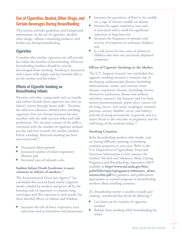# Use of Cigarettes, Alcohol, Other Drugs, and Certain Beverages During Breastfeeding

This section provides guidelines and background information on the use of cigarettes, alcohol, other drugs, caffeine-containing products, and herbal teas during breastfeeding.

#### **Cigarettes**

A mother who smokes cigarettes can still provide her infant the benefits of breastfeeding. However, breastfeeding mothers should be actively discouraged from smoking. Smoking is associated with a poor milk supply and has harmful effects on the mother and her infant.18

#### Effects of Cigarette Smoking on Breastfeeding Infants

Nicotine and other compounds such as cyanide and carbon dioxide from cigarettes can enter an infant's system through breast milk.<sup>2</sup> Nicotine, the addictive substance inhaled when smoking cigarettes, does not disrupt lactation but may interfere with the milk ejection reflex and milk production. The nicotine content of the milk is correlated with the number of cigarettes smoked per day and how recently the mother smoked before a feeding. Maternal smoking has been associated with:18

- Decreased infant growth
- Increased number of infant respiratory illnesses and
- Increased rates of infantile colic.

#### **Sudden Infant Death Syndrome is more common in infants of smokers.**<sup>18</sup>

The Environmental Protection Agency<sup>28</sup> has concluded that second-hand smoke (cigarette smoke exhaled by smokers and given off by the burning ends of cigarettes) is a human lung carcinogen and that exposure to such smoke has these harmful effects on infants and children:

Increases the risk of lower respiratory tract infections such as bronchitis and pneumonia

- Increases the prevalence of fluid in the middle ear, a sign of chronic middle ear disease
- Irritates the upper respiratory tract and is associated with a small but significant reduction in lung function
- Increases the frequency of episodes and severity of symptoms in asthmatic children and
- Is a risk factor for new cases of asthma in children who have not previously displayed symptoms.

#### **Effects of Cigarette Smoking on the Mother**

The U.S. Surgeon General has concluded that cigarette smoking increases a woman's risk of developing cardiovascular diseases (including atherosclerosis, stroke, and coronary heart disease), respiratory diseases (including chronic obstructive pulmonary disease and asthma), infertility, cataracts, hip fractures and low bone density postmenopausal, peptic ulcer, cancers (of the lung, larynx, oral cavity, esophagus, stomach, pancreas, urinary bladder, cervix, and kidney), and risk of dying prematurely in general, and is a major threat to the outcome of pregnancy and the well-being of the newborn infant.<sup>29</sup>

#### **Smoking Cessation**

Refer breastfeeding mothers who smoke, and are having difficulty quitting, to smoking cessation programs in your area. Refer to the U.S. Department of Agriculture, Food and Nutrition Information Center resource list entitled "Alcohol and Substance Abuse During Pregnancy and Breastfeeding, September 2003" available at **http://www.nal.usda.gov/fnic/ pubs/bibs/topics/pregnancy/substance\_abuse\_ resourcelist.pdf** for guidance and publications appropriate to counsel pregnant or breastfeeding mothers about smoking cessation.

#### *If a breastfeeding mother is unable to totally quit smoking, recommend that she do the following:*<sup>23</sup>

- Cut down on the number of cigarettes smoked
- Refrain from smoking while breastfeeding her infant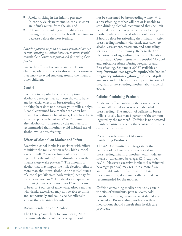- Avoid smoking in her infant's presence (nicotine, via cigarette smoke, can also enter an infant's system from the air) and
- Refrain from smoking until right after a feeding so that nicotine levels will have time to decrease before the next feeding.

*Nicotine patches or gums are often promoted for use to help smoking cessation; however, mothers should consult their health care provider before using these products.*

Given the effects of second-hand smoke on children, advise mothers to also ask other smokers they know to avoid smoking around the infant or other children.

#### Alcohol

Contrary to popular belief, consumption of alcoholic beverages has not been shown to have any beneficial effects on breastfeeding (i.e., drinking beer does not increase your milk supply). Alcohol consumed by a mother can enter her infant's body through breast milk; levels have been shown to peak in breast milk $30$  to 90 minutes after alcohol consumption by the mother. It is recommended that mothers avoid habitual use of alcohol while breastfeeding.

#### **Effects of Alcohol on Mother and Infant**

Excessive alcohol intake is associated with failure to initiate the milk ejection reflex, high alcohol levels in milk,<sup>30</sup> lower volumes of breast milk ingested by the infant, $31$  and disturbances in the infant's sleep-wake pattern.<sup>32</sup> The amount of alcohol that may impair the milk ejection reflex is more than about two alcoholic drinks (0.5 grams of alcohol per kilogram body weight) per day for the average woman.<sup>30</sup> Two drinks are equivalent to about 3 ounces of liquor, two 12 ounce cans of beer, or 8 ounces of table wine. Also, a mother who drinks excessively may not be able to think and act normally and could accidentally take actions that endanger her infant.

#### **Recommendations on Alcohol**

The Dietary Guidelines for Americans, 2005 recommends that alcoholic beverages should

not be consumed by breastfeeding women.<sup>33</sup> If a breastfeeding mother will not or is unable to stop drinking alcohol, recommend that she limit her intake as much as possible. Breastfeeding mothers who consume alcohol should wait at least 2 hours before breastfeeding their infant.<sup>18</sup> Refer breastfeeding mothers who drink excessively to alcohol assessment, treatment, and counseling services in your community. Refer to the U.S. Department of Agriculture, Food and Nutrition Information Center resource list entitled "Alcohol and Substance Abuse During Pregnancy and Breastfeeding, September 2003" available at **http://www.nal.usda.gov/fnic/pubs/bibs/topics/ pregnancy/substance\_abuse\_resourcelist.pdf** for guidance and publications appropriate to counsel pregnant or breastfeeding mothers about alcohol abuse.

# Caffeine-Containing Products

Moderate caffeine intake in the form of coffee, tea, or caffeinated sodas is acceptable while breastfeeding. The amount of caffeine in breast milk is usually less than 1 percent of the amount ingested by the mother.<sup>2</sup> Caffeine is not detected in infants' urine whose mothers consume up to 3 cups of coffee a day.

#### **Recommendations on Caffeine-Containing Products**

The AAP Committee on Drugs states that no effect of caffeine has been observed in breastfeeding infants of mothers with moderate intake of caffeinated beverages (2–3 cups per day).<sup>34</sup> However, excessive intake  $($ >5 caffeinated beverages per day) may result in a more fussy and irritable infant. If an infant exhibits these symptoms, decreasing caffeine intake is recommended for the mother.

Caffeine-containing medications (e.g., certain varieties of stimulants, pain relievers, cold remedies, and weight-control aids) should also be avoided. Breastfeeding mothers on these medications should consult their health care providers.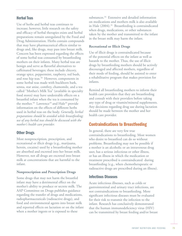#### Herbal Teas

Use of herbs and herbal teas continues to increase; however, little research on the safety and efficacy of herbal therapies exists and herbal preparations remain unregulated by the Food and Drug Administration. Herbs contain compounds that may have pharmaceutical effects similar to drugs and, like drugs, may pass into breast milk. Concern has been expressed regarding the effects of some herbal teas consumed by breastfeeding mothers on their infants. Many herbal teas are benign and serve as flavorful alternatives to caffeinated beverages; these include chicory, orange spice, peppermint, raspberry, red bush, and rose hip teas.<sup>18</sup> However, components in some herbal teas made with buckhorn bark, senna, star anise, comfrey, chamomile, and a tea called "Mother's Milk Tea" (available in specialty food stores) may have undesirable effects on a breastfed infant when the tea is consumed by the mother.<sup>18</sup> Lawrence<sup>18</sup> and Hale<sup>34</sup> provide information on the effects of different herbs used in herbal teas on the body. *Generally, herbal preparations should be avoided while breastfeeding; use of any herbal teas should be discussed with the mother's health care provider.*

#### Other Drugs

Most nonprescription, prescription, and recreational or illicit drugs (e.g., marijuana, heroin, cocaine) used by a breastfeeding mother are absorbed and excreted into her breast milk. However, not all drugs are excreted into breast milk at concentrations that are harmful to the infant.

#### **Nonprescription and Prescription Drugs**

Some drugs that may not harm the breastfed infant may have a detrimental effect on the mother's ability to produce or secrete milk. The AAP Committee on Drugs publishes guidance regarding the transfer of drugs and medications, radiopharmaceuticals (radioactive drugs), and food and environmental agents into breast milk and reported effects on lactation or on the infant when a mother ingests or is exposed to these

substances.<sup>34</sup> Extensive and detailed information on medications and mothers milk is also available in Hale  $(2004).$ <sup>35</sup> Breastfeeding is contraindicated when drugs, medications, or other substances taken by the mother and transmitted to the infant in the breast milk may harm the infant.

#### **Recreational or Illicit Drugs**

Use of illicit drugs is contraindicated because of the potential effects on the infant as well as hazards to the mother. Thus, the use of illicit drugs by breastfeeding mothers should be actively discouraged and affected mothers, regardless of their mode of feeding, should be assisted to enter a rehabilitative program that makes provision for infants.

Remind all breastfeeding mothers to inform their health care providers that they are breastfeeding and consult with their providers before taking any type of drug or vitamin/mineral supplements. Any decisions regarding drug use during lactation should be made between the mother and her health care provider.

# Contraindications to Breastfeeding

In general, there are very few true contraindications to breastfeeding. Most women who desire to breastfeed can do so without problems. Breastfeeding may not be possible if a mother is an alcoholic or an intravenous drug user, has a serious infectious or other illness, or has an illness in which the medication or treatment prescribed is contraindicated during breastfeeding (e.g., when chemotherapeutic or radioactive drugs are prescribed during an illness).

#### Infectious Diseases

Acute infectious illnesses, such as colds or gastrointestinal and urinary tract infections, are not contraindications to breastfeeding. More significant infectious diseases must be evaluated for their risk to transmit the infection to the infant. Research has conclusively demonstrated that the human immunodeficiency virus (HIV) can be transmitted by breast feeding and/or breast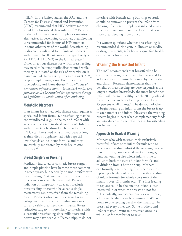milk.36 In the United States, the AAP and the Centers for Disease Control and Prevention (CDC) recommend that HIV-positive mothers should not breastfeed their infants.<sup>37, 38</sup> Because of the lack of unsafe water supplies or nutritious alternatives in developing countries, breastfeeding is recommended for infants of HIV mothers in some other parts of the world. Breastfeeding is also contraindicated for infants of mothers with human T-cell leukemia virus type 1 or type 2 (HTLV-1, HTLV-2) in the United States.<sup>37</sup> Other infectious diseases for which breastfeeding may need to be temporarily discontinued while therapy is initiated or the risk of transmission is passed include hepatitis, cytomegalovirus (CMV), herpes simplex virus, varicella-zoster virus, tuberculosis, and Lyme disease.39 *In all cases of nonroutine infectious illness, the mother's health care provider should be consulted for appropriate therapy and guidance on continuation of breastfeeding.*

#### Metabolic Disorders

If an infant has a metabolic disease that requires a specialized infant formula, breastfeeding may be contraindicated (e.g., in the case of infants with galactosemia, a rare medical condition). Infants with the metabolic disorder phenylketonuria (PKU) can breastfeed on a limited basis as long as their diet is supplemented with a special low-phenylalanine infant formula and they are carefully monitored by their health care provider.39

#### Breast Surgery or Piercing

Medically indicated or cosmetic breast surgery and nipple piercing have become more common in recent years, but generally do not interfere with breastfeeding.23 Women with a history of breast cancer may successfully breastfeed. Previous radiation or lumpectomy does not preclude breastfeeding; those who have had a single mastectomy can breastfeed from the remaining breast. Mothers who have undergone breast enlargement with silicone or saline implants can also safely breastfeed their infants. Breast reduction surgery is more likely to interfere with successful breastfeeding since milk ducts and nerves may have been cut. Pierced nipples do not

interfere with breastfeeding but rings or studs should be removed to prevent the infant from choking. If a pierced nipple was infected at any time, scar tissue may have developed that could make breastfeeding more difficult.

If a woman questions whether breastfeeding is recommended during certain illnesses or medical or drug treatments, refer her to a qualified health care provider for advice.

# Weaning the Breastfed Infant

The AAP recommends that breastfeeding be continued through the infant's first year and for as long after as is mutually desired by the mother and child.<sup>1</sup> Research demonstrates that the benefits of breastfeeding are dose-responsive; the longer a mother breastfeeds, the more benefit her infant will receive. Healthy People 2010 goals call for an increase in breastfeeding rates at 1 year to 25 percent of all infants.7 The decision of when to begin weaning an infant from the breast is up to each mother and infant. However, the weaning process begins in part when complementary foods are introduced and the infant begins breastfeeding less frequently.

#### Approach to Gradual Weaning

Mothers who wish to wean their exclusively breastfed infants onto infant formula tend to experience less discomfort if the weaning process is gradual (e.g., over several weeks or longer). Gradual weaning also allows infants time to adjust to both the taste of infant formula and to drinking from a bottle or cup. Mothers can formally start weaning from the breast by replacing a feeding of breast milk with a feeding of infant formula (or whole cow's milk if the infant is over 12 months old). The first feeding to replace could be the one the infant is least interested in or when the breasts do not feel full. Gradually, over several days or even weeks, additional feedings can be eliminated. When down to one feeding per day, the infant can be breastfed every other day. Some mothers and infants may still want to breastfeed once in a while just for comfort or to relax.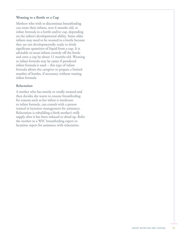#### **Weaning to a Bottle or a Cup**

Mothers who wish to discontinue breastfeeding can wean their infants, over 6 months old, to infant formula in a bottle and/or cup, depending on the infant's developmental ability. Some older infants may need to be weaned to a bottle because they are not developmentally ready to drink significant quantities of liquid from a cup. It is advisable to wean infants entirely off the bottle and onto a cup by about 12 months old. Weaning to infant formula may be easier if powdered infant formula is used – this type of infant formula allows the caregiver to prepare a limited number of bottles, if necessary, without wasting infant formula.

#### **Relactation**

A mother who has mostly or totally weaned and then decides she wants to resume breastfeeding for reasons such as her infant is intolerant to infant formula, can consult with a person trained in lactation management for assistance. Relactation is rebuilding a birth mother's milk supply after it has been reduced or dried up. Refer the mother to a WIC breastfeeding expert or lactation expert for assistance with relactation.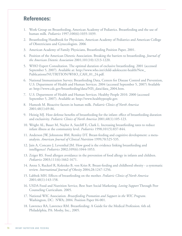# References:

- 1. Work Group on Breastfeeding, American Academy of Pediatrics. Breastfeeding and the use of human milk. *Pediatrics* 1997;100(6):1035-1039.
- 2. Breastfeeding Handbook for Physicians, American Academy of Pediatrics and American College of Obstetricians and Gynecologists. 2006
- 3. American Academy of Family Physicians, Breastfeeding Position Paper, 2001.
- 4. Position of the American Dietetic Association. Breaking the barriers to breastfeeding. *Journal of the American Dietetic Association* 2001;101(10):1213-1220.
- 5. WHO Expert Consultation. The optimal duration of exclusive breastfeeding. 2001 (accessed September 5, 2007). Available at: http://www.who.int/child-adolescent-health/New\_ Publications/NUTRITION/WHO\_CAH\_01\_24.pdf.
- 6. National Immunization Survey; Breastfeeding Data, Centers for Disease Control and Prevention, U.S. Department of Health and Human Services. 2004 (accessed September 5, 2007) Available at: http://www.cdc.gov/breastfeeding/data/NIS\_data/data\_2004.htm.
- 7. U.S. Department of Health and Human Services. Healthy People 2010. 2000 (accessed September 5, 2007). Available at: http://www.healthypeople.gov.
- 8. Hamosh M. Bioactive factors in human milk. *Pediatric Clinics of North America*  2001;48(1):69-86.
- 9. Heinig MJ. Host defense benefits of breastfeeding for the infant: effect of breastfeeding duration and exclusivity. *Pediatric Clinics of North America* 2001;48(1):105-123.
- 10. Wright AL, Bauer M, Naylor A, Sutcliff E, Clark L. Increasing breastfeeding rates to reduce infant illness at the community level. *Pediatrics* 1998;101(5):837-844.
- 11. Anderson JW, Johnstone BM, Remley DT. Breast-feeding and cognitive development: a metaanalysis. *American Journal of Clinical Nutrition* 1999;70:525-535.
- 12. Jain A, Concato J, Leventhal JM. How good is the evidence linking breastfeeding and intelligence? *Pediatrics* 2002;109(6):1044-1053.
- 13. Zeiger RS. Food allergen avoidance in the prevention of food allergy in infants and children. *Pediatrics* 2003;111(6):1662-1671.
- 14. Arenz S, Ruckerl R, Koletzko B, von Kries R. Breast-feeding and childhood obesity a systematic review. *International Journal of Obesity* 2004;28:1247-1256.
- 15. Labbok MH. Effects of breastfeeding on the mother. *Pediatric Clinics of North America*  2001;48(1):143-158.
- 16. USDA Food and Nutrition Service, Best Start Social Marketing. *Loving Support* Through Peer Counseling Curriculum. 2005.
- 17. National WIC Association. *Breastfeeding Promotion and Support in the WIC Program*. Washington, DC: NWA; 2004. Position Paper 04-001.
- 18. Lawrence RA, Lawrence RM. Breastfeeding: A Guide for the Medical Profession. 6th ed. Philadelphia, PA: Mosby, Inc., 2005.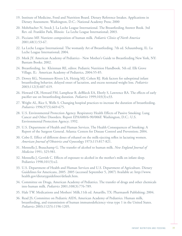- 19. Institute of Medicine, Food and Nutrition Board. Dietary Reference Intakes. Applications in Dietary Assessment. Washington, D.C.: National Academy Press; 2000
- 20. Mohrbacher N, Stock J. La Leche League International. The Breastfeeding Answer Book. 3rd Rev. ed. Franklin Park, Illinois: La Leche League International; 2003.
- 21. Picciano MF. Nutrient composition of human milk. *Pediatric Clinics of North America* 2001;48(1):53-67.
- 22. La Leche League International. The womanly Art of Breastfeeding. 7th ed. Schaumburg, IL: La Leche League International; 2004.
- 23. Meek JY. American Academy of Pediatrics New Mother's Guide to Breastfeeding New York, NY: Bantam Books; 2002.
- 24. Breastfeeding. In: Kleinman RE, editor. Pediatric Nutrition Handbook. 5th ed. Elk Grove Village, IL: American Academy of Pediatrics, 2004:55-85.
- 25. Dewey KG, Nommsen-Rivers LA, Heinig MJ, Cohen RJ. Risk factors for suboptimal infant breastfeeding behavior, delayed onset of lactation, and excess neonatal weight loss. *Pediatrics* 2003;112(3):607-619.
- 26. Howard CR, Howard FM, Lamphear B, deBlieck EA, Eberly S, Lawrence RA. The effects of early pacifier use on breastfeeding duration. *Pediatrics* 1999;103(3):e33.
- 27. Wright AL, Rice S, Wells S. Changing hospital practices to increase the duration of breastfeeding. *Pediatrics* 1996;97(5):669-675.
- 28. U.S. Environmental Protection Agency. Respiratory Health Effects of Passive Smoking: Lung Cancer and Other Disorders. Report EPA/600/6-90/006F. Washington, D.C.: U.S. Environmental Protection Agency; 1992.
- 29. U.S. Department of Health and Human Services. The Health Consequences of Smoking: A Report of the Surgeon General. Atlanta: Centers for Disease Control and Prevention; 2004.
- 30. Cobo E. Effect of different doses of ethanol on the milk-ejecting reflex in lactating women. *American Journal of Obstetrics and Gynecology* 1973;115:817-821.
- 31. Mennella J, Beauchamp G. The transfer of alcohol to human milk. *New England Journal of Medicine* 1991; 325:981.
- 32. Mennella J, Gerrish C. Effects of exposure to alcohol in the mother's milk on infant sleep. Pediatrics 1998;101(5):e2.
- 33. U.S. Department of Health and Human Services and U.S. Department of Agriculture. Dietary Guidelines for Americans, 2005. 2005 (accessed September 5, 2007) Available at: http://www. health.gov/dietaryguidelines/default.htm.
- 34. Committee on Drugs, American Academy of Pediatrics. The transfer of drugs and other chemicals into human milk. *Pediatrics* 2001;108(3):776-789.
- 35. Hale TW. Medications and Mothers' Milk.11th ed. Amarillo, TX: Pharmasoft Publishing; 2004.
- 36. Read JS; Committee on Pediatric AIDS, American Academy of Pediatrics. Human milk, breastfeeding, and transmission of human immunodeficiency virus type 1 in the United States. *Pediatrics* 2003;112(5):1196-1205.